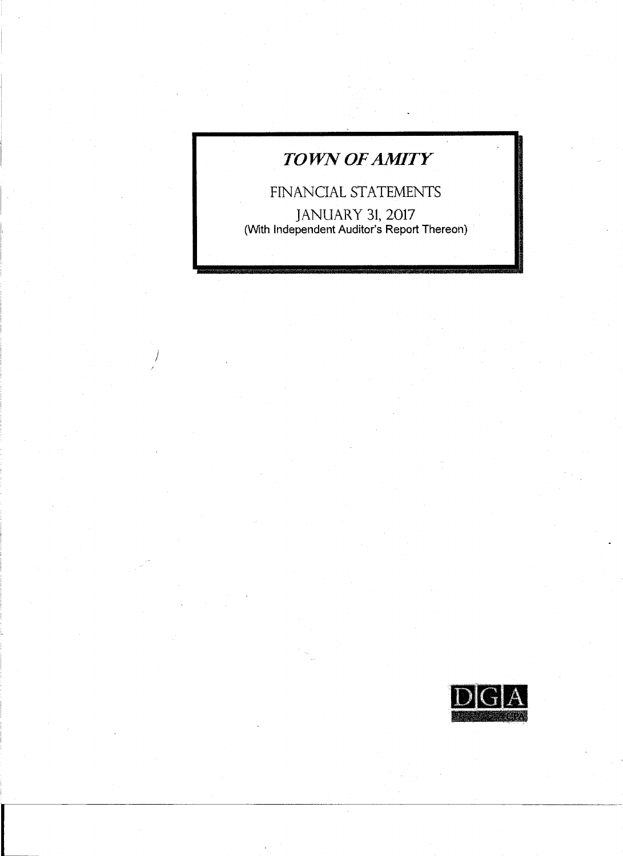# *TOWN OF AMITY*

I

I

I

 $\mathcal{F}_\mathcal{A}$ 

FINANCIAL STATEMENTS JANUARY 31, 2017 (With Independent Auditor's Report Thereon)

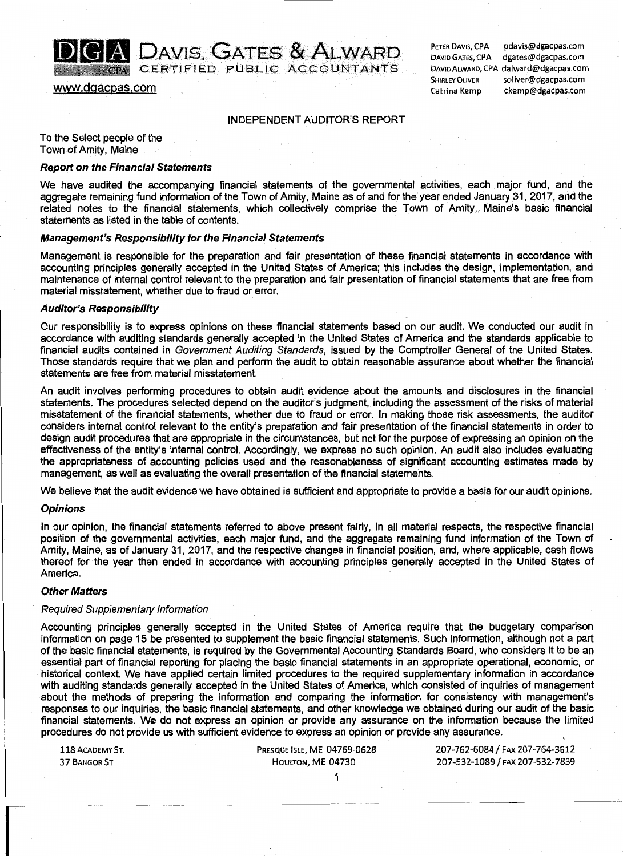# **(1) DAVIS, GATES & ALWARD**<br>GERTIFIED PUBLIC ACCOUNTANTS

www.dgacpas.com

PETER DAVIS, CPA pdavis@dgacpas.com DAVID GATES, CPA dgates@dgacpas.com DAVID ALWARD, CPA dalward@dgacpas.com SHIRLEY OLIVER soliver@dgacpas.com Catrina Kemp ckemp@dgacpas.com

#### INDEPENDENT AUDITOR'S REPORT

To the Select people of the Town of Amity, Maine

#### Report on the Financial Statements

We have audited the accompanying financial statements of the governmental activities, each major fund, and the aggregate remaining fund information of the Town of Amity, Maine as of and for the year ended January 31, 2017, and the related notes to the financial statements, which collectively comprise the Town of Amity,. Maine's basic financial statements as listed in the table of contents.

#### Management's Responsibility for the Financial Statements

Management is responsible for the preparation and fair presentation of these financial statements in accordance with accounting principles generally accepted in the United States of America; this includes the design, implementation, and maintenance of internal control relevant to the preparation and fair presentation of financial statements that are free from material misstatement, whether due to fraud or error.

#### Auditor's Responsibility

Our responsibility is to express opinions on these financial statements based on our audit. We conducted our audit in accordance with auditing standards generally accepted in the United States of America and the standards applicable to financial audits contained in Government Auditing Standards, issued by the Comptroller General of the United States. Those standards require that we plan and perform the audit to obtain reasonable assurance about whether the financial statements are free from material misstatement.

An audit involves performing procedures to obtain audit evidence about the amounts and disclosures in the financial statements. The procedures selected depend on the auditor's judgment, including the assessment of the risks of material misstatement of the financial statements, whether due to fraud or error. In making those risk assessments, the auditor considers internal control relevant to the entity's preparation and fair presentation of the financial statements in order to design audit procedures that are appropriate in the circumstances, but not for the purpose of expressing an opinion on the effectiveness of the entity's internal control. Accordingly, we express no such opinion. An audit also includes evaluating the appropriateness of accounting policies used and the reasonableness of significant accounting estimates made by management, as well as evaluating the overall presentation of the financial statements.

We believe that the audit evidence we have obtained is sufficient and appropriate to provide a basis for our audit opinions.

#### **Opinions**

In our opinion, the financial statements referred to above present fairly, in all material respects, the respective financial position of the governmental activities, each major fund, and the aggregate remaining fund information of the Town of Amity, Maine, as of January 31, 2017, and the respective changes in financial position, and, where applicable, cash flows thereof for the year then ended in accordance with accounting principles generally accepted in the United States of America.

#### Other Matters

#### Required Supplementary Information

Accounting principles generally accepted in the United States of America require that the budgetary comparison information on page 15 be presented to supplement the basic financial statements. Such information, although not a part of the basic financial statements, is required by the Governmental Accounting Standards Board, who considers it to be an essential part of financial reporting for placing the basic financial statements in an appropriate operational, economic, or historical context. We have applied certain limited procedures to the required supplementary information in accordance with auditing standards generally accepted in the United States of America, which consisted of inquiries of management about the methods of preparing the information and comparing the information for consistency with management's responses to our inquiries, the basic financial statements, and other knowledge we obtained during our audit of the basic financial statements. We do not express an opinion or provide any assurance on the information because the limited procedures do not provide us with sufficient evidence to express an opinion or provide any assurance.

37 BANGOR ST **HOULTON, ME 04730** 207-532-1089 / FAX 207-532-7839

1

118 ACADEMY ST. PRESQUE ISLE, ME 04769-0628 207-762-6084 / FAX 207-764-3612

-------------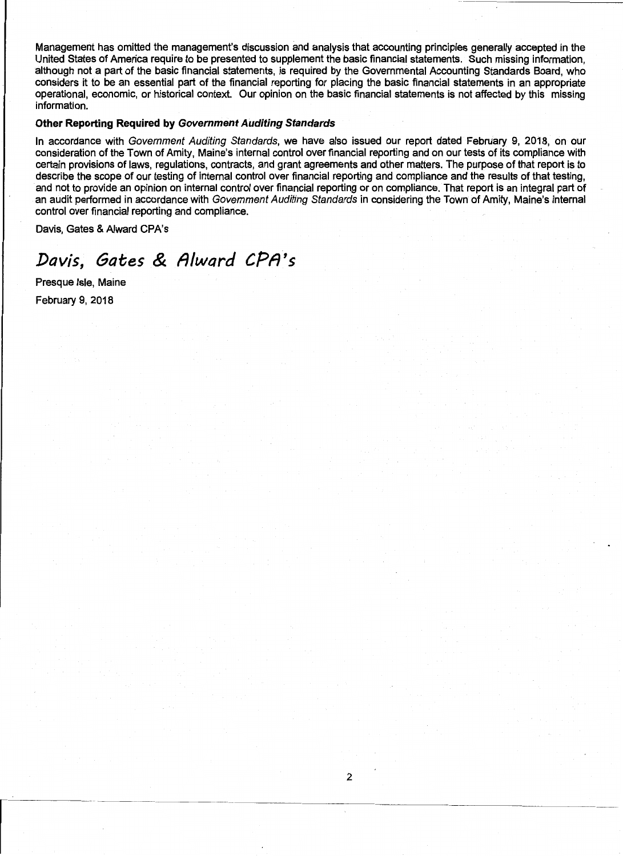Management has omitted the management's discussion and analysis that accounting principles generally accepted in the United States of America require to be presented to supplement the basic financial statements. Such missing information, although not a part of the basic financial statements, is required by the Governmental Accounting Standards Board, who considers it to be an essential part of the financial reporting for placing the basic financial statements in an appropriate operational, economic, or historical context. Our opinion on the basic financial statements is not affected by this missing information.

#### Other Reporting Required by Government Auditing Standards

In accordance with Government Auditing Standards, we have also issued our report dated February 9, 2018, on our consideration of the Town of Amity, Maine's internal control over financial reporting and on our tests of its compliance with certain provisions of laws, regulations, contracts, and grant agreements and other matters. The purpose of that report is to describe the scope of our testing of internal control over financial reporting and compliance and the results of that testing, and not to provide an opinion on internal control over financial reporting or on compliance. That report is an integral part of an audit performed in accordance with Government Auditing Standards in considering the Town of Amity, Maine's internal control over financial reporting and compliance.

Davis, Gates & Alward CPA's

# *Davis, Gates* & *fllward CPfl's*

Presque Isle, Maine February 9, 2018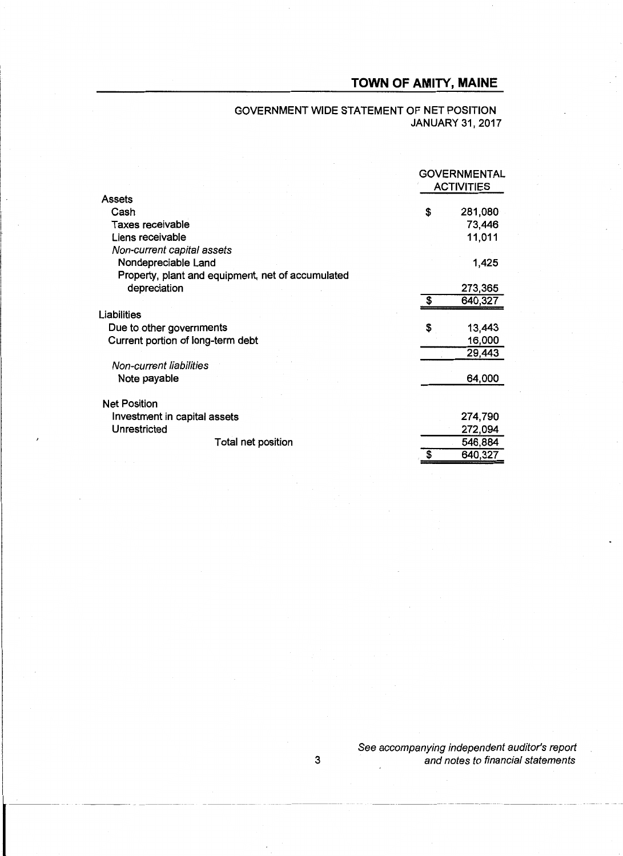### GOVERNMENT WIDE STATEMENT OF NET POSITION JANUARY 31,2017

|                                                   | <b>GOVERNMENTAL</b><br><b>ACTIVITIES</b> |         |  |
|---------------------------------------------------|------------------------------------------|---------|--|
| Assets                                            |                                          |         |  |
| Cash                                              | \$                                       | 281,080 |  |
| Taxes receivable                                  |                                          | 73,446  |  |
| Liens receivable                                  |                                          | 11,011  |  |
| Non-current capital assets                        |                                          |         |  |
| Nondepreciable Land                               |                                          | 1,425   |  |
| Property, plant and equipment, net of accumulated |                                          |         |  |
| depreciation                                      |                                          | 273,365 |  |
|                                                   | S                                        | 640,327 |  |
| Liabilities                                       |                                          |         |  |
| Due to other governments                          | S                                        | 13,443  |  |
| Current portion of long-term debt                 |                                          | 16,000  |  |
|                                                   |                                          | 29,443  |  |
| Non-current liabilities                           |                                          |         |  |
| Note payable                                      |                                          | 64,000  |  |
|                                                   |                                          |         |  |
| <b>Net Position</b>                               |                                          |         |  |
| Investment in capital assets                      |                                          | 274,790 |  |
| Unrestricted                                      |                                          | 272,094 |  |
| Total net position                                |                                          | 546,884 |  |
|                                                   | \$                                       | 640,327 |  |
|                                                   |                                          |         |  |

See accompanying independent auditor's report 3 and notes to financial statements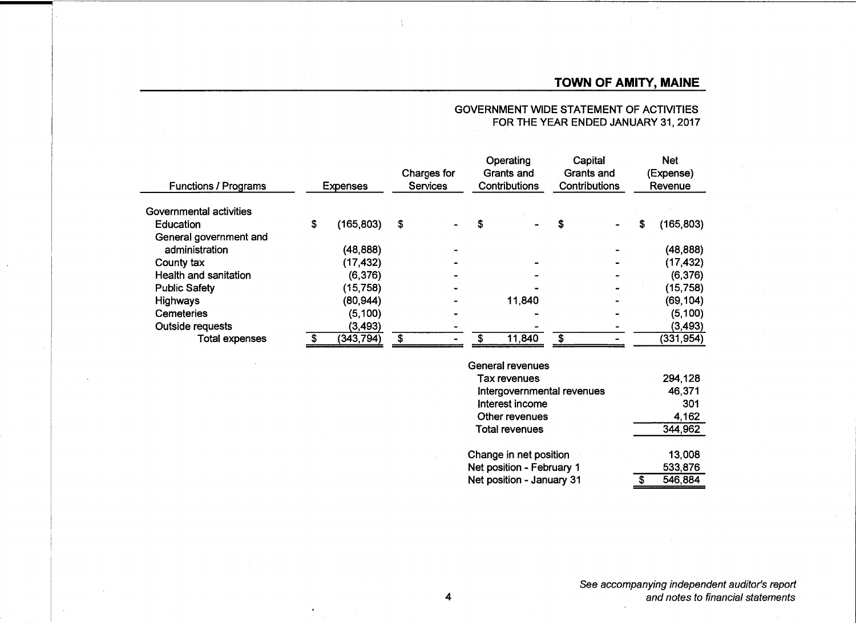| <b>Functions / Programs</b> | <b>Expenses</b> |           | Charges for<br>Services |  | Operating<br>Grants and<br>Contributions |        | Capital<br>Grants and<br>Contributions |  | <b>Net</b><br>(Expense)<br>Revenue |            |
|-----------------------------|-----------------|-----------|-------------------------|--|------------------------------------------|--------|----------------------------------------|--|------------------------------------|------------|
| Governmental activities     |                 |           |                         |  |                                          |        |                                        |  |                                    |            |
| Education                   | \$              | (165,803) | \$                      |  | \$                                       |        |                                        |  | \$                                 | (165, 803) |
| General government and      |                 |           |                         |  |                                          |        |                                        |  |                                    |            |
| administration              |                 | (48, 888) |                         |  |                                          |        |                                        |  |                                    | (48, 888)  |
| County tax                  |                 | (17, 432) |                         |  |                                          |        |                                        |  |                                    | (17, 432)  |
| Health and sanitation       |                 | (6, 376)  |                         |  |                                          |        |                                        |  |                                    | (6, 376)   |
| <b>Public Safety</b>        |                 | (15, 758) |                         |  |                                          |        |                                        |  |                                    | (15,758)   |
| <b>Highways</b>             |                 | (80,944)  |                         |  |                                          | 11,840 |                                        |  |                                    | (69,104)   |
| <b>Cemeteries</b>           |                 | (5, 100)  |                         |  |                                          |        |                                        |  |                                    | (5, 100)   |
| Outside requests            |                 | (3, 493)  |                         |  |                                          |        |                                        |  |                                    | (3, 493)   |
| <b>Total expenses</b>       |                 | (343,794) | \$                      |  |                                          | 11,840 | \$                                     |  |                                    | (331, 954) |

#### GOVERNMENT WIDE STATEMENT OF ACTIVITIES FOR THE YEAR ENDED JANUARY 31,2017

| <b>General revenues</b>    |  |
|----------------------------|--|
| Tax revenues               |  |
| Intergovernmental revenues |  |
| Interest income            |  |
| Other revenues             |  |
| <b>Total revenues</b>      |  |

| Change in net position    | 13,008  |
|---------------------------|---------|
| Net position - February 1 | 533,876 |
| Net position - January 31 | 546,884 |

294,128 46,371 301 4,162 344,962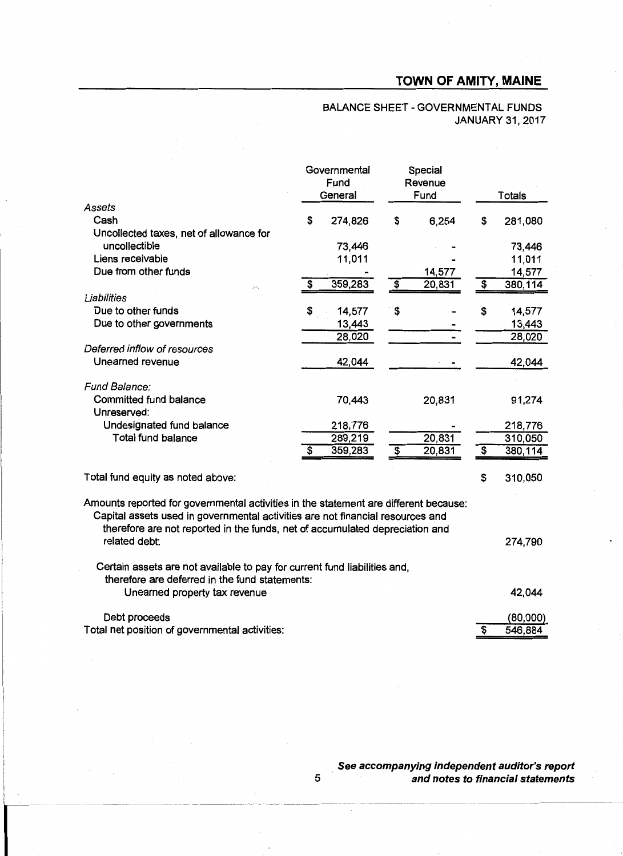|                                                                                                                                                                                                                                                        | Governmental<br>Fund<br>General |                                      | Special<br>Revenue<br>Fund |                                      | <b>Totals</b> |
|--------------------------------------------------------------------------------------------------------------------------------------------------------------------------------------------------------------------------------------------------------|---------------------------------|--------------------------------------|----------------------------|--------------------------------------|---------------|
| Assets                                                                                                                                                                                                                                                 |                                 |                                      |                            |                                      |               |
| Cash                                                                                                                                                                                                                                                   | \$<br>274,826                   | \$                                   | 6,254                      | S                                    | 281,080       |
| Uncollected taxes, net of allowance for                                                                                                                                                                                                                |                                 |                                      |                            |                                      |               |
| uncollectible                                                                                                                                                                                                                                          | 73,446                          |                                      |                            |                                      | 73,446        |
| Liens receivable                                                                                                                                                                                                                                       | 11,011                          |                                      |                            |                                      | 11,011        |
| Due from other funds                                                                                                                                                                                                                                   |                                 |                                      | 14,577                     |                                      | 14,577        |
|                                                                                                                                                                                                                                                        | \$<br>359,283                   | $\overline{\$}$                      | 20,831                     | $\overline{\$}$                      | 380,114       |
| Liabilities                                                                                                                                                                                                                                            |                                 |                                      |                            |                                      |               |
| Due to other funds                                                                                                                                                                                                                                     | \$<br>14,577                    | \$                                   |                            | \$                                   | 14,577        |
| Due to other governments                                                                                                                                                                                                                               | 13,443                          |                                      |                            |                                      | 13,443        |
|                                                                                                                                                                                                                                                        | 28,020                          |                                      |                            |                                      | 28,020        |
| Deferred inflow of resources                                                                                                                                                                                                                           |                                 |                                      |                            |                                      |               |
| Unearned revenue                                                                                                                                                                                                                                       | 42,044                          |                                      |                            |                                      | 42,044        |
| Fund Balance:                                                                                                                                                                                                                                          |                                 |                                      |                            |                                      |               |
| Committed fund balance<br>Unreserved:                                                                                                                                                                                                                  | 70,443                          |                                      | 20,831                     |                                      | 91,274        |
| Undesignated fund balance                                                                                                                                                                                                                              | 218,776                         |                                      |                            |                                      | 218,776       |
| <b>Total fund balance</b>                                                                                                                                                                                                                              | 289,219                         |                                      | 20,831                     |                                      | 310,050       |
|                                                                                                                                                                                                                                                        | \$<br>359,283                   | $\overline{\boldsymbol{\mathsf{s}}}$ | 20,831                     | $\overline{\boldsymbol{\mathsf{s}}}$ | 380,114       |
| Total fund equity as noted above:                                                                                                                                                                                                                      |                                 |                                      |                            | \$                                   | 310,050       |
| Amounts reported for governmental activities in the statement are different because:<br>Capital assets used in governmental activities are not financial resources and<br>therefore are not reported in the funds, net of accumulated depreciation and |                                 |                                      |                            |                                      |               |
| related debt:                                                                                                                                                                                                                                          |                                 |                                      |                            |                                      | 274,790       |
| Certain assets are not available to pay for current fund liabilities and,<br>therefore are deferred in the fund statements:                                                                                                                            |                                 |                                      |                            |                                      |               |
| Unearned property tax revenue                                                                                                                                                                                                                          |                                 |                                      |                            |                                      | 42,044        |

### BALANCE SHEET - GOVERNMENTAL FUNDS JANUARY 31, 2017

Debt proceeds (80,000)<br>al net position of governmental activities:  $\frac{80,000}{10000}$ Total net position of governmental activities:

> See accompanying independent auditor's report and notes to financial statements

5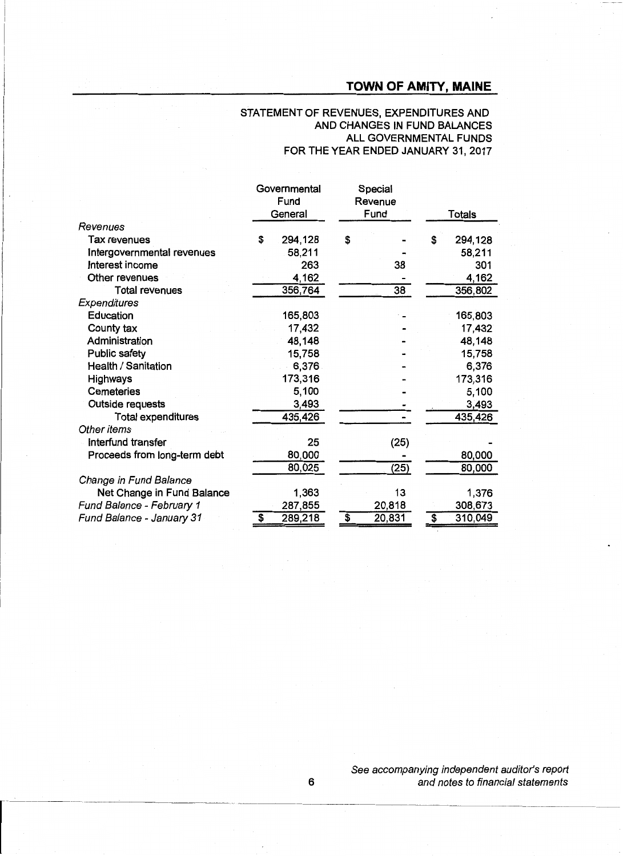#### STATEMENT OF REVENUES, EXPENDITURES AND AND CHANGES IN FUND BALANCES ALL GOVERNMENTAL FUNDS FOR THE YEAR ENDED JANUARY 31,2017

|                              | Governmental<br>Fund |         |                                      | Special<br>Revenue |                 |                             |         |
|------------------------------|----------------------|---------|--------------------------------------|--------------------|-----------------|-----------------------------|---------|
|                              |                      | General |                                      | Fund               |                 | Totals                      |         |
| Revenues                     |                      |         |                                      |                    |                 |                             |         |
| Tax revenues                 | S                    | 294,128 | \$                                   |                    |                 | S                           | 294,128 |
| Intergovernmental revenues   |                      | 58,211  |                                      |                    |                 |                             | 58,211  |
| Interest income              |                      | 263     |                                      |                    | 38              |                             | 301     |
| Other revenues               |                      | 4,162   |                                      |                    |                 |                             | 4,162   |
| <b>Total revenues</b>        |                      | 356,764 |                                      |                    | $\overline{38}$ |                             | 356,802 |
| Expenditures                 |                      |         |                                      |                    |                 |                             |         |
| Education                    |                      | 165,803 |                                      |                    |                 |                             | 165,803 |
| County tax                   |                      | 17,432  |                                      |                    |                 |                             | 17,432  |
| Administration               |                      | 48,148  |                                      |                    |                 |                             | 48,148  |
| <b>Public safety</b>         |                      | 15,758  |                                      |                    |                 |                             | 15,758  |
| Health / Sanitation          |                      | 6,376   |                                      |                    |                 |                             | 6,376   |
| <b>Highways</b>              |                      | 173,316 |                                      |                    |                 |                             | 173,316 |
| <b>Cemeteries</b>            |                      | 5,100   |                                      |                    |                 |                             | 5,100   |
| <b>Outside requests</b>      |                      | 3,493   |                                      |                    |                 |                             | 3,493   |
| <b>Total expenditures</b>    |                      | 435,426 |                                      |                    |                 |                             | 435,426 |
| Other items                  |                      |         |                                      |                    |                 |                             |         |
| Interfund transfer           |                      | 25      |                                      |                    | (25)            |                             |         |
| Proceeds from long-term debt |                      | 80,000  |                                      |                    |                 |                             | 80,000  |
|                              |                      | 80,025  |                                      |                    | (25)            |                             | 80,000  |
| Change in Fund Balance       |                      |         |                                      |                    |                 |                             |         |
| Net Change in Fund Balance   |                      | 1,363   |                                      |                    | 13              |                             | 1,376   |
| Fund Balance - February 1    |                      | 287,855 |                                      |                    | 20,818          |                             | 308,673 |
| Fund Balance - January 31    | \$                   | 289,218 | $\overline{\boldsymbol{\mathsf{s}}}$ |                    | 20,831          | $\overline{\boldsymbol{s}}$ | 310,049 |

See accompanying independent auditor's report 6 and notes to financial statements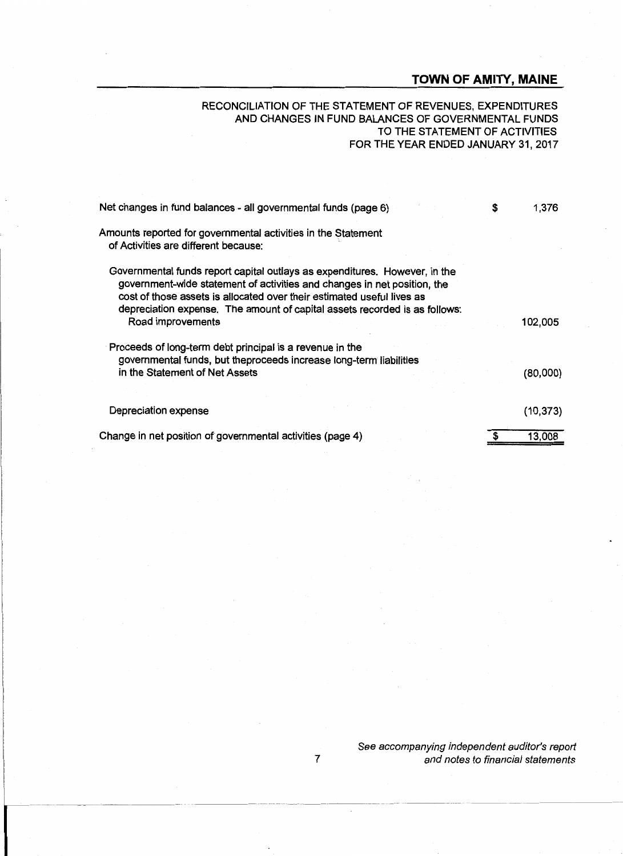#### RECONCILIATION OF THE STATEMENT OF REVENUES, EXPENDITURES AND CHANGES IN FUND BALANCES OF GOVERNMENTAL FUNDS TO THE STATEMENT OF ACTIVITIES FOR THE YEAR ENDED JANUARY 31,2017

| Net changes in fund balances - all governmental funds (page 6)                                                                                                                                                                                                                                                                      | 1,376     |
|-------------------------------------------------------------------------------------------------------------------------------------------------------------------------------------------------------------------------------------------------------------------------------------------------------------------------------------|-----------|
| Amounts reported for governmental activities in the Statement<br>of Activities are different because:                                                                                                                                                                                                                               |           |
| Governmental funds report capital outlays as expenditures. However, in the<br>government-wide statement of activities and changes in net position, the<br>cost of those assets is allocated over their estimated useful lives as<br>depreciation expense. The amount of capital assets recorded is as follows:<br>Road improvements | 102,005   |
| Proceeds of long-term debt principal is a revenue in the<br>governmental funds, but theproceeds increase long-term liabilities<br>in the Statement of Net Assets                                                                                                                                                                    | (80,000)  |
| Depreciation expense                                                                                                                                                                                                                                                                                                                | (10, 373) |
| Change in net position of governmental activities (page 4)                                                                                                                                                                                                                                                                          | 13,008    |

See accompanying independent auditor's report 7 and notes to financial statements

----- ~------~ --- ----~ ---------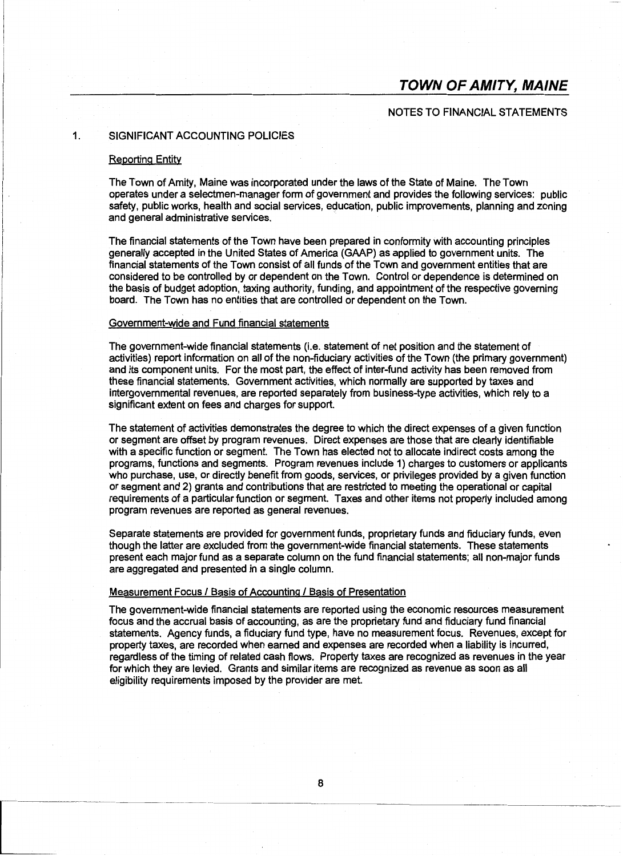#### NOTES TO FINANCIAL STATEMENTS

#### 1. SIGNIFICANT ACCOUNTING POLICIES

#### Reporting Entity

The Town of Amity, Maine was incorporated under the laws of the State of Maine. The Town operates under a selectmen-manager form of government and provides the following services: public safety, public works, health and social services, education, public improvements, planning and zoning and general administrative services.

The financial statements of the Town have been prepared in conformity with accounting principles generally accepted in the United States of America (GAAP) as applied to government units. The financial statements of the Town consist of all funds of the Town and government entities that are considered to be controlled by or dependent on the Town. Control or dependence is determined on the basis of budget adoption, taxing authority, funding, and appointment of the respective governing board. The Town has no entities that are controlled or dependent on the Town.

#### Government-wide and Fund financial statements

The government-wide financial statements (i.e. statement of net position and the statement of activities) report information on all of the non-fiduciary activities of the Town (the primary government) and its component units. For the most part, the effect of inter-fund activity has been removed from these financial statements. Government activities, which normally are supported by taxes and intergovernmental revenues, are reported separately from business-type activities, which rely to a significant extent on fees and charges for support.

The statement of activities demonstrates the degree to which the direct expenses of a given function or segment are offset by program revenues. Direct expenses are those that are clearly identifiable with a specific function or segment. The Town has elected not to allocate indirect costs among the programs, functions and segments. Program revenues include 1) charges to customers or applicants who purchase, use, or directly benefit from goods, services, or privileges provided by a given function or segment and 2) grants and contributions that are restricted to meeting the operational or capital requirements of a particular function or segment. Taxes and other items not properly included among program revenues are reported as general revenues.

Separate statements are provided for government funds, proprietary funds and fiduciary funds, even though the latter are excluded from the government-wide financial statements. These statements present each major fund as a separate column on the fund financial statements; all non-major funds are aggregated and presented in a single column.

#### Measurement Focus / Basis of Accounting / Basis of Presentation

The government-wide financial statements are reported using the economic resources measurement focus and the accrual basis of accounting, as are the proprietary fund and fiduciary fund financial statements. Agency funds, a fiduciary fund type, have no measurement focus. Revenues, except for property taxes, are recorded when earned and expenses are recorded when a liability is incurred, regardless of the timing of related cash flows. Property taxes are recognized as revenues in the year for which they are levied. Grants and similar items are recognized as revenue as soon as all eligibility requirements imposed by the provider are met.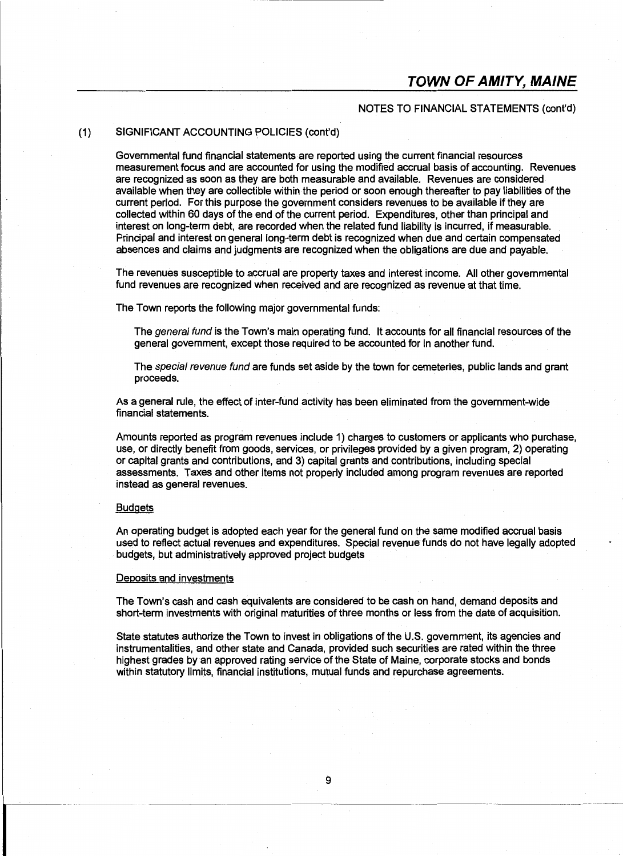#### NOTES TO FINANCIAL STATEMENTS (cont'd)

#### (1) SIGNIFICANT ACCOUNTING POLICIES (cont'd)

Governmental fund financial statements are reported using the current financial resources measurement focus and are accounted for using the modified accrual basis of accounting. Revenues are recognized as soon as they are both measurable and available. Revenues are considered available when they are collectible within the period or soon enough thereafter to pay liabilities of the current period. For this purpose the government considers revenues to be available if they are collected within 60 days of the end of the current period. Expenditures, other than principal and interest on long-term debt, are recorded when the related fund liability is incurred, if measurable. Principal and interest on general long-term debt is recognized when due and certain compensated absences and claims and judgments are recognized when the obligations are due and payable.

The revenues susceptible to accrual are property taxes and interest income. All other governmental fund revenues are recognized when received and are recognized as revenue at that time.

The Town reports the following major governmental funds:

The general fund is the Town's main operating fund. It accounts for all financial resources of the general government, except those required to be accounted for in another fund.

The special revenue fund are funds set aside by the town for cemeteries, public lands and grant proceeds.

As a general rule, the effect of inter-fund activity has been eliminated from the government-wide financial statements.

Amounts reported as program revenues include 1) charges to customers or applicants who purchase, use, or directly benefit from goods, services, or privileges provided by a given program, 2) operating or capital grants and contributions, and 3) capital grants and contributions, including special assessments. Taxes and other items not properly included among program revenues are reported instead as general revenues.

#### **Budgets**

An operating budget is adopted each year for the general fund on the same modified accrual basis used to reflect actual revenues and expenditures. Special revenue funds do not have legally adopted budgets, but administratively approved project budgets

#### Deposits and investments

The Town's cash and cash equivalents are considered to be cash on hand, demand deposits and short-term investments with original maturities of three months or less from the date of acquisition.

State statutes authorize the Town to invest in obligations of the U.S. government, its agencies and instrumentalities, and other state and Canada, provided such securities are rated within the three highest grades by an approved rating service of the State of Maine, corporate stocks and bonds within statutory limits, financial institutions, mutual funds and repurchase agreements.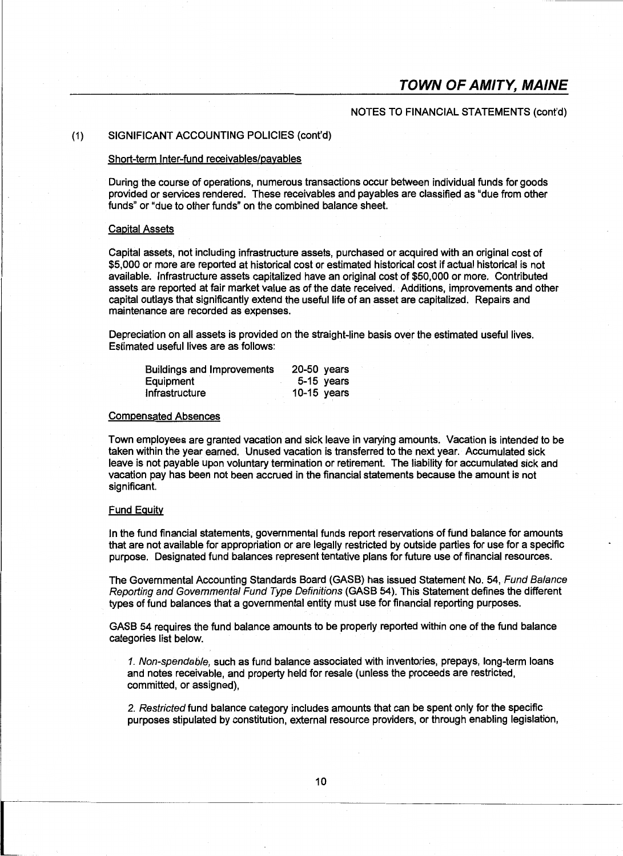#### NOTES TO FINANCIAL STATEMENTS (cont'd)

#### (1) SIGNIFICANT ACCOUNTING POLICIES (cont'd)

#### Short-term Inter-fund receivables/payables

During the course of operations, numerous transactions occur between individual funds for goods provided or services rendered. These receivables and payables are classified as "due from other funds" or "due to other funds" on the combined balance sheet.

#### Capital Assets

Capital assets, not including infrastructure assets, purchased or acquired with an original cost of \$5,000 or more are reported at historical cost or estimated historical cost if actual historical is not available. Infrastructure assets capitalized have an original cost of \$50,000 or more. Contributed assets are reported at fair market value as of the date received. Additions, improvements and other capital outlays that significantly extend the useful life of an asset are capitalized. Repairs and maintenance are recorded as expenses.

Depreciation on all assets is provided on the straight-line basis over the estimated useful lives. Estimated useful lives are as follows:

| <b>Buildings and Improvements</b> | 20-50 years |
|-----------------------------------|-------------|
| Equipment                         | 5-15 years  |
| Infrastructure                    | 10-15 years |

#### Compensated Absences

Town employees are granted vacation and sick leave in varying amounts. Vacation is intended to be taken within the year earned. Unused vacation is transferred to the next year. Accumulated sick leave is not payable upon voluntary termination or retirement. The liability for accumulated sick and vacation pay has been not been accrued in the financial statements because the amount is not significant.

#### Fund Equity

In the fund financial statements, governmental funds report reservations of fund balance for amounts that are not available for appropriation or are legally restricted by outside parties for use for a specific purpose. Designated fund balances represent tentative plans for future use of financial resources.

The Governmental Accounting Standards Board (GASB) has issued Statement No. 54, Fund Balance Reporting and Governmental Fund Type Definitions (GASB 54). This Statement defines the different types of fund balances that a governmental entity must use for financial reporting purposes.

GASB 54 requires the fund balance amounts to be properly reported within one of the fund balance categories list below.

1. Non-spendable, such as fund balance associated with inventories, prepays, long-term loans and notes receivable, and property held for resale (unless the proceeds are restricted, committed, or assigned),

2. Restricted fund balance category includes amounts that can be spent only for the specific purposes stipulated by constitution, external resource providers, or through enabling legislation,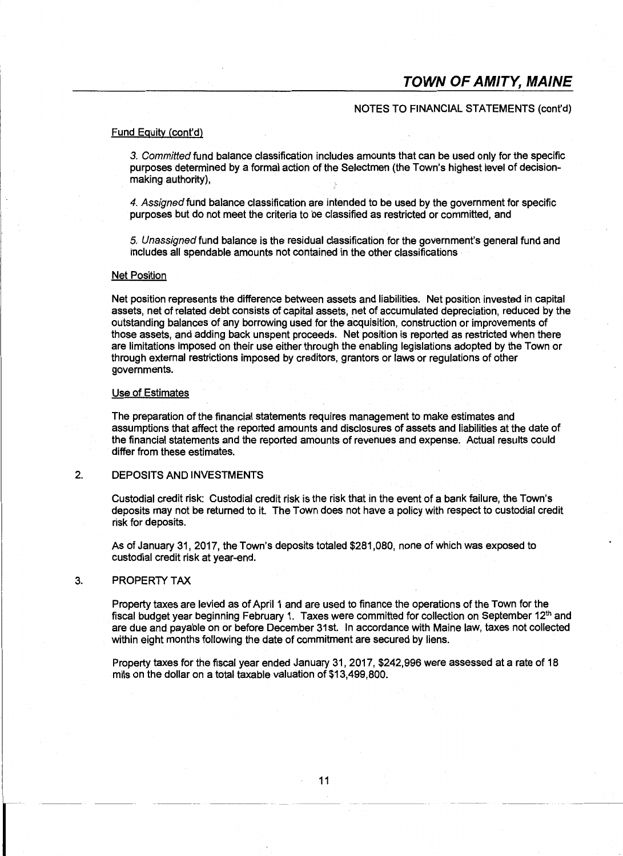#### NOTES TO FINANCIAL STATEMENTS (cont'd)

#### Fund Equity {cont'd)

3. Committed fund balance classification includes amounts that can be used only for the specific purposes determined by a formal action of the Selectmen (the Town's highest level of decisionmaking authority),

4. Assigned fund balance classification are intended to be used by the government for specific purposes but do not meet the criteria to be classified as restricted or committed, and

5. Unassigned fund balance is the residual classification for the government's general fund and includes all spendable amounts not contained in the other classifications

#### **Net Position**

Net position represents the difference between assets and liabilities. Net position invested in capital assets, net of related debt consists of capital assets, net of accumulated depreciation, reduced by the outstanding balances of any borrowing used for the acquisition, construction or improvements of those assets, and adding back unspent proceeds. Net position is reported as restricted when there are limitations imposed on their use either through the enabling legislations adopted by the Town or through external restrictions imposed by creditors, grantors or laws or regulations of other governments.

#### Use of Estimates

The preparation of the financial statements requires management to make estimates and assumptions that affect the reported amounts and disclosures of assets and liabilities at the date of the financial statements and the reported amounts of revenues and expense. Actual results could differ from these estimates.

#### 2. DEPOSITS AND INVESTMENTS

Custodial credit risk: Custodial credit risk is the risk that in the event of a bank failure, the Town's deposits may not be returned to it. The Town does not have a policy with respect to custodial credit risk for deposits.

As of January 31, 2017, the Town's deposits totaled \$281,080, none of which was exposed to custodial credit risk at year-end.

#### 3. PROPERTY TAX

Property taxes are levied as of April 1 and are used to finance the operations of the Town for the fiscal budget year beginning February 1. Taxes were committed for collection on September 12<sup>th</sup> and are due and payable on or before December 31st. In accordance with Maine law, taxes not collected within eight months following the date of commitment are secured by liens.

Property taxes for the fiscal year ended January 31, 2017, \$242,996 were assessed at a rate of 18 mils on the dollar on a total taxable valuation of \$13,499,800.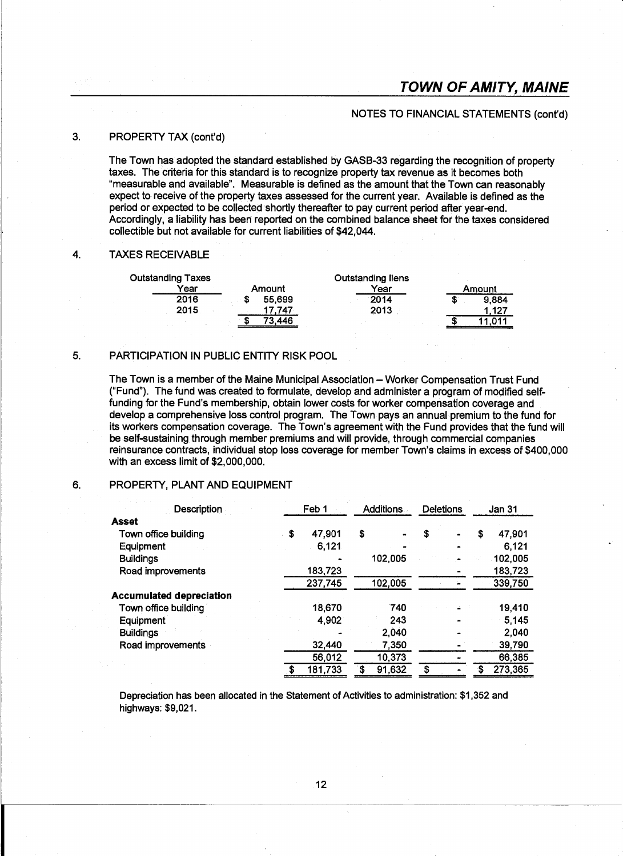#### NOTES TO FINANCIAL STATEMENTS (cont'd)

#### 3. PROPERTY TAX (cont'd)

The Town has adopted the standard established by GASB-33 regarding the recognition of property taxes. The criteria for this standard is to recognize property tax revenue as it becomes both "measurable and available". Measurable is defined as the amount that the Town can reasonably expect to receive of the property taxes assessed for the current year. Available is defined as the period or expected to be collected shortly thereafter to pay current period after year-end. Accordingly, a liability has been reported on the combined balance sheet for the taxes considered collectible but not available for current liabilities of \$42,044.

#### 4. TAXES RECEIVABLE

| <b>Outstanding Taxes</b> |   |        | <b>Outstanding liens</b> |   |        |
|--------------------------|---|--------|--------------------------|---|--------|
| Year                     |   | Amount | Year                     |   | Amount |
| 2016                     |   | 55.699 | 2014                     | S | 9.884  |
| 2015                     |   | 747    | 2013                     |   | 1.127  |
|                          | œ | 73 446 |                          |   |        |

#### 5. PARTICIPATION IN PUBLIC ENTITY RISK POOL

The Town is a member of the Maine Municipal Association- Worker Compensation Trust Fund ("Fund"). The fund was created to formulate, develop and administer a program of modified selffunding for the Fund's membership, obtain lower costs for worker compensation coverage and develop a comprehensive loss control program. The Town pays an annual premium to the fund for its workers compensation coverage. The Town's agreement with the Fund provides that the fund will be self-sustaining through member premiums and will provide, through commercial companies reinsurance contracts, individual stop loss coverage for member Town's claims in excess of \$400,000 with an excess limit of \$2,000,000.

#### 6. PROPERTY, PLANT AND EQUIPMENT

| Description                     |    | Feb 1   |    | <b>Additions</b> |    | <b>Deletions</b> |   | <b>Jan 31</b> |  |
|---------------------------------|----|---------|----|------------------|----|------------------|---|---------------|--|
| <b>Asset</b>                    |    |         |    |                  |    |                  |   |               |  |
| Town office building            | \$ | 47,901  | \$ |                  | \$ |                  | S | 47,901        |  |
| Equipment                       |    | 6,121   |    |                  |    |                  |   | 6.121         |  |
| <b>Buildings</b>                |    |         |    | 102,005          |    |                  |   | 102,005       |  |
| Road improvements               |    | 183,723 |    |                  |    |                  |   | 183,723       |  |
|                                 |    | 237,745 |    | 102,005          |    |                  |   | 339,750       |  |
| <b>Accumulated depreciation</b> |    |         |    |                  |    |                  |   |               |  |
| Town office building            |    | 18,670  |    | 740              |    |                  |   | 19,410        |  |
| Equipment                       |    | 4,902   |    | 243              |    |                  |   | 5,145         |  |
| <b>Buildings</b>                |    |         |    | 2,040            |    |                  |   | 2,040         |  |
| Road improvements               |    | 32,440  |    | 7,350            |    |                  |   | 39,790        |  |
|                                 |    | 56,012  |    | 10,373           |    |                  |   | 66,385        |  |
|                                 | S  | 181,733 | \$ | 91,632           |    |                  |   | 273,365       |  |

Depreciation has been allocated in the Statement of Activities to administration: \$1 ,352 and highways: \$9,021.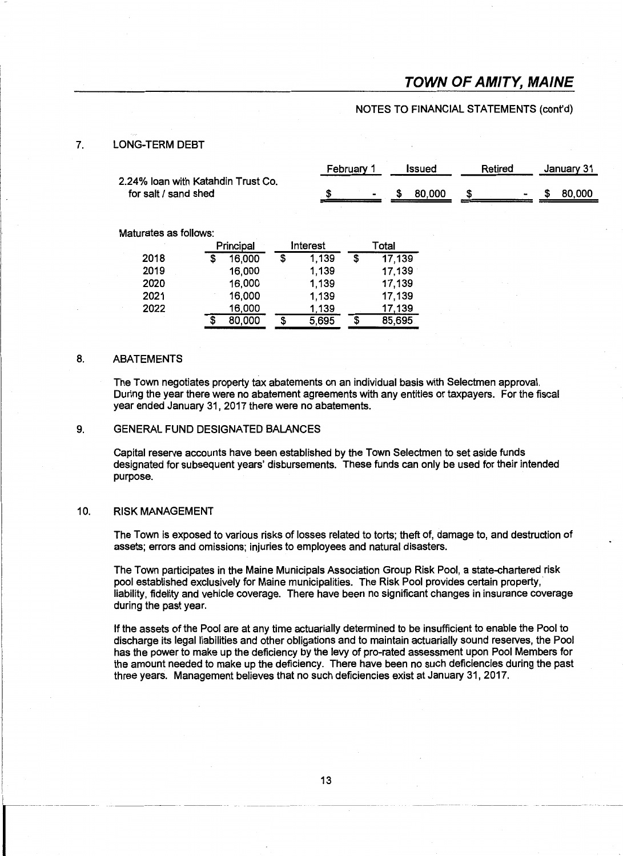#### NOTES TO FINANCIAL STATEMENTS (cont'd)

#### 7. LONG-TERM DEBT

|                                    | February | <b>Issued</b> | Retirea | January 31 |
|------------------------------------|----------|---------------|---------|------------|
| 2.24% Ioan with Katahdin Trust Co. |          |               |         |            |
| for salt / sand shed               |          | 80,000        |         | 80,000     |

Maturates as follows:

|      |   | Principal | Interest    |    | Total  |
|------|---|-----------|-------------|----|--------|
| 2018 |   | 16,000    | \$<br>1,139 | \$ | 17,139 |
| 2019 |   | 16,000    | 1,139       |    | 17,139 |
| 2020 |   | 16,000    | 1,139       |    | 17,139 |
| 2021 |   | 16,000    | 1,139       |    | 17,139 |
| 2022 |   | 16,000    | 1,139       |    | 17,139 |
|      | S | 80,000    | \$<br>5,695 | S  | 85,695 |

#### 8. ABATEMENTS

The Town negotiates property tax abatements on an individual basis with Selectmen approval. During the year there were no abatement agreements with any entities or taxpayers. For the fiscal year ended January 31, 2017 there were no abatements.

#### 9. GENERAL FUND DESIGNATED BALANCES

Capital reserve accounts have been established by the Town Selectmen to set aside funds designated for subsequent years' disbursements. These funds can only be used for their intended purpose.

#### 10. RISK MANAGEMENT

--- ---------

I -----

The Town is exposed to various risks of losses related to torts; theft of, damage to, and destruction of assets; errors and omissions; injuries to employees and natural disasters.

The Town participates in the Maine Municipals Association Group Risk Pool, a state-chartered risk pool established exclusively for Maine municipalities. The Risk Pool provides certain property, liability, fidelity and vehicle coverage. There have been no significant changes in insurance coverage during the past year.

If the assets of the Pool are at any time actuarially determined to be insufficient to enable the Pool to discharge its legal liabilities and other obligations and to maintain actuarially sound reserves, the Pool has the power to make up the deficiency by the levy of pro-rated assessment upon Pool Members for the amount needed to make up the deficiency. There have been no such deficiencies during the past three years. Management believes that no such deficiencies exist at January 31, 2017.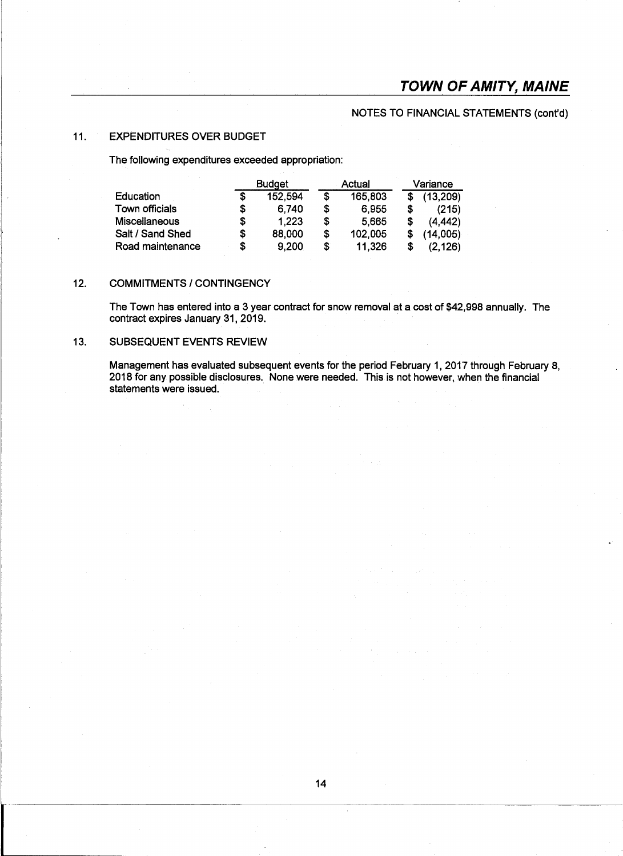### NOTES TO FINANCIAL STATEMENTS (cont'd}

#### 11. EXPENDITURES OVER BUDGET

The following expenditures exceeded appropriation:

|                      |   | <b>Budget</b> |    | Actual  | Variance |           |  |
|----------------------|---|---------------|----|---------|----------|-----------|--|
| Education            | S | 152,594       | \$ | 165,803 |          | (13, 209) |  |
| Town officials       | S | 6.740         | \$ | 6.955   | S        | (215)     |  |
| <b>Miscellaneous</b> | S | 1.223         | S  | 5.665   | S        | (4, 442)  |  |
| Salt / Sand Shed     | S | 88,000        | \$ | 102,005 |          | (14,005)  |  |
| Road maintenance     | S | 9,200         | \$ | 11,326  | S        | (2, 126)  |  |

#### 12. COMMITMENTS / CONTINGENCY

The Town has entered into a 3 year contract for snow removal at a cost of \$42,998 annually. The contract expires January 31, 2019.

#### 13. SUBSEQUENT EVENTS REVIEW

Management has evaluated subsequent events for the period February 1, 2017 through February 8, 2018 for any possible disclosures. None were needed. This is not however, when the financial statements were issued.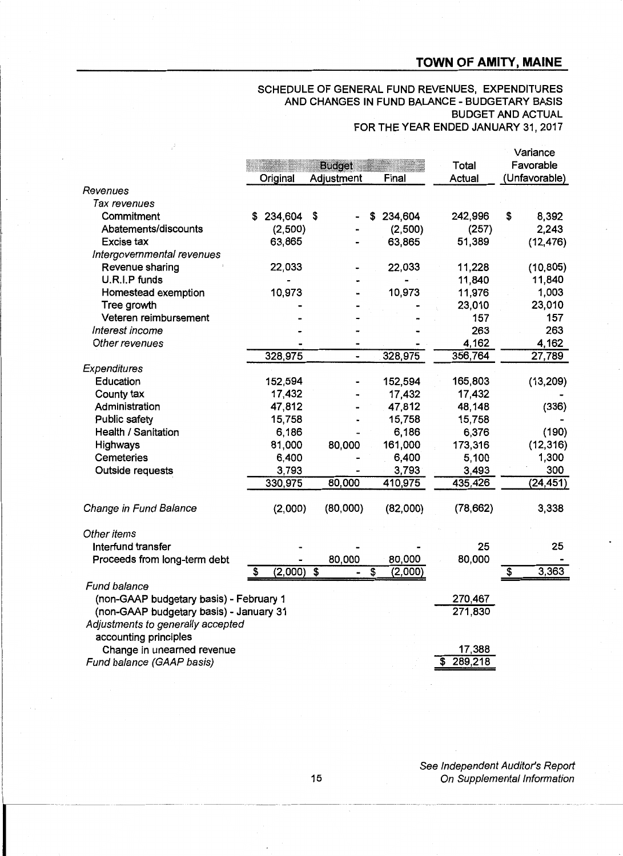# SCHEDULE OF GENERAL FUND REVENUES, EXPENDITURES AND CHANGES IN FUND BALANCE- BUDGETARY BASIS BUDGET AND ACTUAL

FOR THE YEAR ENDED JANUARY 31,2017

|                                         |               |                           |                                    |               | Variance                         |
|-----------------------------------------|---------------|---------------------------|------------------------------------|---------------|----------------------------------|
|                                         |               | <b>Budget</b>             |                                    | Total         | Favorable                        |
|                                         | Original      | Adjustment                | Final                              | <b>Actual</b> | (Unfavorable)                    |
| Revenues                                |               |                           |                                    |               |                                  |
| Tax revenues                            |               |                           |                                    |               |                                  |
| Commitment                              | 234,604<br>S. | \$                        | 234,604<br>\$                      | 242,996       | \$<br>8,392                      |
| Abatements/discounts                    | (2,500)       |                           | (2,500)                            | (257)         | 2,243                            |
| Excise tax                              | 63,865        |                           | 63,865                             | 51,389        | (12, 476)                        |
| Intergovernmental revenues              |               |                           |                                    |               |                                  |
| Revenue sharing                         | 22,033        |                           | 22,033                             | 11,228        | (10, 805)                        |
| U.R.I.P funds                           |               |                           |                                    | 11,840        | 11,840                           |
| Homestead exemption                     | 10,973        |                           | 10,973                             | 11,976        | 1,003                            |
| Tree growth                             |               |                           |                                    | 23,010        | 23,010                           |
| Veteren reimbursement                   |               |                           |                                    | 157           | 157                              |
| Interest income                         |               |                           |                                    | 263           | 263                              |
| Other revenues                          |               |                           |                                    | 4,162         | 4,162                            |
|                                         | 328,975       | $\overline{a}$            | 328,975                            | 356,764       | 27,789                           |
| Expenditures                            |               |                           |                                    |               |                                  |
| Education                               | 152,594       |                           | 152,594                            | 165,803       | (13, 209)                        |
| County tax                              | 17,432        |                           | 17,432                             | 17,432        |                                  |
| Administration                          | 47,812        |                           | 47,812                             | 48,148        | (336)                            |
| Public safety                           | 15,758        |                           | 15,758                             | 15,758        |                                  |
| Health / Sanitation                     | 6,186         |                           | 6,186                              | 6,376         | (190)                            |
| Highways                                | 81,000        | 80,000                    | 161,000                            | 173,316       | (12, 316)                        |
| Cemeteries                              | 6,400         |                           | 6,400                              | 5,100         | 1,300                            |
| Outside requests                        | 3,793         |                           | 3,793                              | 3,493         | 300                              |
|                                         | 330,975       | 80,000                    | 410,975                            | 435,426       | (24, 451)                        |
| Change in Fund Balance                  | (2,000)       | (80,000)                  | (82,000)                           | (78, 662)     | 3,338                            |
| Other items                             |               |                           |                                    |               |                                  |
| Interfund transfer                      |               |                           |                                    | 25            | 25                               |
| Proceeds from long-term debt            |               | 80,000                    | 80,000                             | 80,000        |                                  |
|                                         | (2,000)<br>S  | $\overline{\mathfrak{s}}$ | $\overline{\mathbf{s}}$<br>(2,000) |               | 3,363<br>$\overline{\mathbf{s}}$ |
| Fund balance                            |               |                           |                                    |               |                                  |
| (non-GAAP budgetary basis) - February 1 |               |                           |                                    | 270,467       |                                  |
| (non-GAAP budgetary basis) - January 31 |               |                           |                                    | 271,830       |                                  |
| Adjustments to generally accepted       |               |                           |                                    |               |                                  |
| accounting principles                   |               |                           |                                    |               |                                  |
| Change in unearned revenue              |               |                           |                                    | 17,388        |                                  |
| Fund balance (GAAP basis)               |               |                           |                                    | \$289,218     |                                  |
|                                         |               |                           |                                    |               |                                  |

See Independent Auditor's Report On Supplemental Information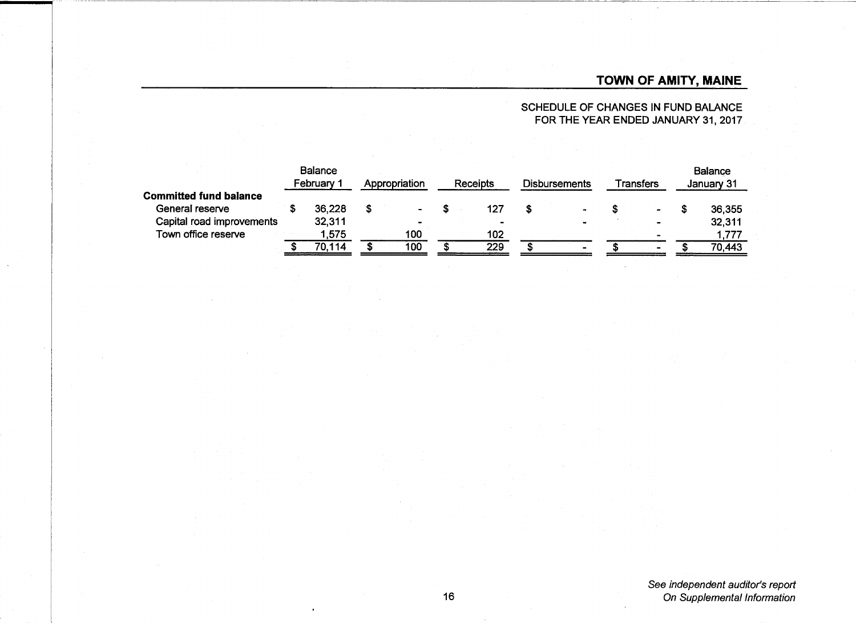SCHEDULE OF CHANGES IN FUND BALANCE FOR THE YEAR ENDED JANUARY 31, 2017.

|                               |  | <b>Balance</b><br>February 1 |   | Appropriation  |  | Receipts       |  | <b>Disbursements</b> |  | Transfers      |  | <b>Balance</b><br>January 31 |  |
|-------------------------------|--|------------------------------|---|----------------|--|----------------|--|----------------------|--|----------------|--|------------------------------|--|
| <b>Committed fund balance</b> |  |                              |   |                |  |                |  |                      |  |                |  |                              |  |
| General reserve               |  | 36,228                       | S |                |  | 127            |  |                      |  | $\bullet$      |  | 36,355                       |  |
| Capital road improvements     |  | 32,311                       |   | $\blacksquare$ |  | $\blacksquare$ |  | $\sim$               |  | $\sim$         |  | 32,311                       |  |
| Town office reserve           |  | .575                         |   | 100            |  | 102            |  |                      |  |                |  | 1,777                        |  |
|                               |  | 70.114                       |   | 100            |  | 229            |  | $\sim$               |  | $\blacksquare$ |  | 70.443                       |  |